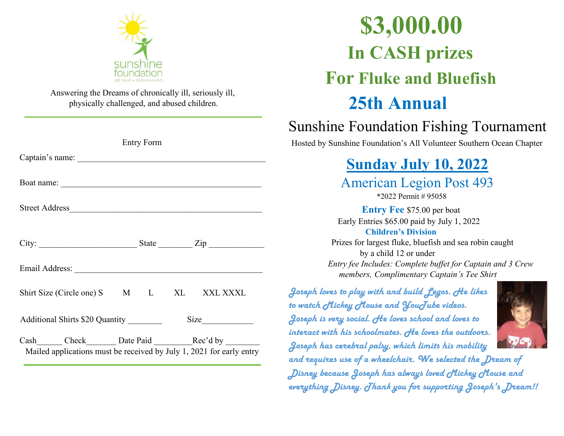

Answering the Dreams of chronically ill, seriously ill, physically challenged, and abused children.

|                                                                                                                                                  | <b>Entry Form</b> |  |
|--------------------------------------------------------------------------------------------------------------------------------------------------|-------------------|--|
| Captain's name:                                                                                                                                  |                   |  |
|                                                                                                                                                  |                   |  |
| Street Address                                                                                                                                   |                   |  |
|                                                                                                                                                  |                   |  |
|                                                                                                                                                  |                   |  |
| Shirt Size (Circle one) S M L XL XXL XXXL                                                                                                        |                   |  |
|                                                                                                                                                  |                   |  |
| Cash________ Check__________ Date Paid _____________ Rec'd by __________<br>Mailed applications must be received by July 1, 2021 for early entry |                   |  |

# **\$3,000.00 In CASH prizes For Fluke and Bluefish 25th Annual**

# Sunshine Foundation Fishing Tournament

Hosted by Sunshine Foundation's All Volunteer Southern Ocean Chapter

# **Sunday July 10, 2022**

American Legion Post 493 **\***2022 Permit # 95058

**Entry Fee** \$75.00 per boat Early Entries \$65.00 paid by July 1, 2022 **Children's Division** 

Prizes for largest fluke, bluefish and sea robin caught by a child 12 or under *Entry fee Includes: Complete buffet for Captain and 3 Crew members, Complimentary Captain's Tee Shirt*

Joseph loves to play with and build Legos. He likes to watch Mickey Mouse and You Jube videos. Joseph is very social. He loves school and loves to interact with his schoolmates. He loves the outdoors. Joseph has cerebral palsy, which limits his mobility